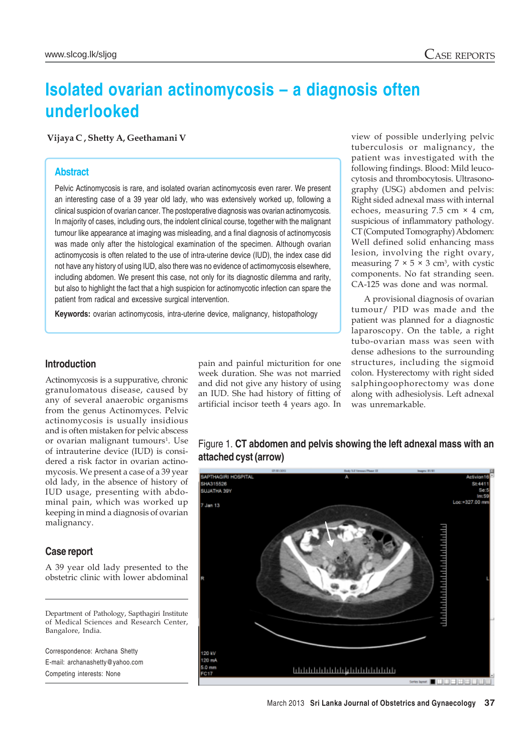# **Isolated ovarian actinomycosis – a diagnosis often underlooked**

 **Vijaya C , Shetty A, Geethamani V**

### **Abstract**

Pelvic Actinomycosis is rare, and isolated ovarian actinomycosis even rarer. We present an interesting case of a 39 year old lady, who was extensively worked up, following a clinical suspicion of ovarian cancer. The postoperative diagnosis was ovarian actinomycosis. In majority of cases, including ours, the indolent clinical course, together with the malignant tumour like appearance at imaging was misleading, and a final diagnosis of actinomycosis was made only after the histological examination of the specimen. Although ovarian actinomycosis is often related to the use of intra-uterine device (IUD), the index case did not have any history of using IUD, also there was no evidence of actimomycosis elsewhere, including abdomen. We present this case, not only for its diagnostic dilemma and rarity, but also to highlight the fact that a high suspicion for actinomycotic infection can spare the patient from radical and excessive surgical intervention.

**Keywords:** ovarian actinomycosis, intra-uterine device, malignancy, histopathology

### **Introduction**

Actinomycosis is a suppurative, chronic granulomatous disease, caused by any of several anaerobic organisms from the genus Actinomyces. Pelvic actinomycosis is usually insidious and is often mistaken for pelvic abscess or ovarian malignant tumours<sup>1</sup>. Use of intrauterine device (IUD) is considered a risk factor in ovarian actinomycosis. We present a case of a 39 year old lady, in the absence of history of IUD usage, presenting with abdominal pain, which was worked up keeping in mind a diagnosis of ovarian malignancy.

### **Case report**

A 39 year old lady presented to the obstetric clinic with lower abdominal

Department of Pathology, Sapthagiri Institute of Medical Sciences and Research Center, Bangalore, India.

Correspondence: Archana Shetty E-mail: archanashetty@yahoo.com Competing interests: None

pain and painful micturition for one week duration. She was not married and did not give any history of using an IUD. She had history of fitting of artificial incisor teeth 4 years ago. In view of possible underlying pelvic tuberculosis or malignancy, the patient was investigated with the following findings. Blood: Mild leucocytosis and thrombocytosis. Ultrasonography (USG) abdomen and pelvis: Right sided adnexal mass with internal echoes, measuring 7.5 cm × 4 cm, suspicious of inflammatory pathology. CT (Computed Tomography) Abdomen: Well defined solid enhancing mass lesion, involving the right ovary, measuring  $7 \times 5 \times 3$  cm<sup>3</sup>, with cystic components. No fat stranding seen. CA-125 was done and was normal.

A provisional diagnosis of ovarian tumour/ PID was made and the patient was planned for a diagnostic laparoscopy. On the table, a right tubo-ovarian mass was seen with dense adhesions to the surrounding structures, including the sigmoid colon. Hysterectomy with right sided salphingoophorectomy was done along with adhesiolysis. Left adnexal was unremarkable.

## Figure 1. **CT abdomen and pelvis showing the left adnexal mass with an attached cyst (arrow)**

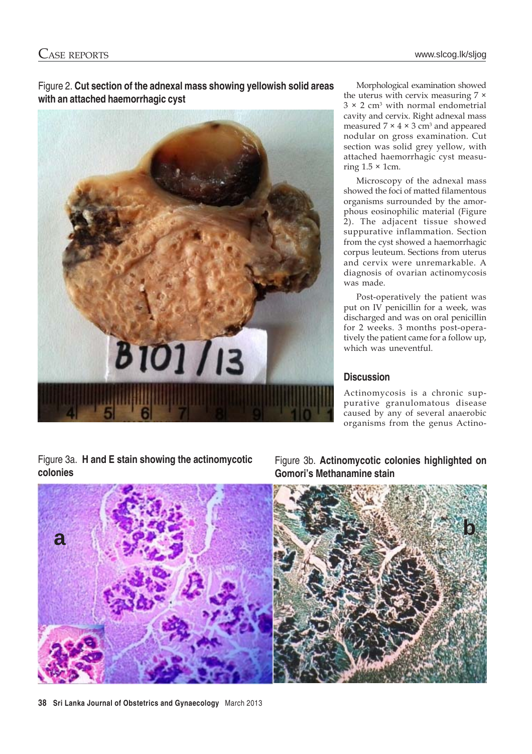Figure 2. **Cut section of the adnexal mass showing yellowish solid areas with an attached haemorrhagic cyst**



Morphological examination showed the uterus with cervix measuring 7 ×  $3 \times 2$  cm<sup>3</sup> with normal endometrial cavity and cervix. Right adnexal mass measured  $7 \times 4 \times 3$  cm<sup>3</sup> and appeared nodular on gross examination. Cut section was solid grey yellow, with attached haemorrhagic cyst measuring  $1.5 \times 1$ cm.

Microscopy of the adnexal mass showed the foci of matted filamentous organisms surrounded by the amorphous eosinophilic material (Figure 2). The adjacent tissue showed suppurative inflammation. Section from the cyst showed a haemorrhagic corpus leuteum. Sections from uterus and cervix were unremarkable. A diagnosis of ovarian actinomycosis was made.

Post-operatively the patient was put on IV penicillin for a week, was discharged and was on oral penicillin for 2 weeks. 3 months post-operatively the patient came for a follow up, which was uneventful.

### **Discussion**

Actinomycosis is a chronic suppurative granulomatous disease caused by any of several anaerobic organisms from the genus Actino-

Figure 3a. **H and E stain showing the actinomycotic colonies**

Figure 3b. **Actinomycotic colonies highlighted on Gomori's Methanamine stain**